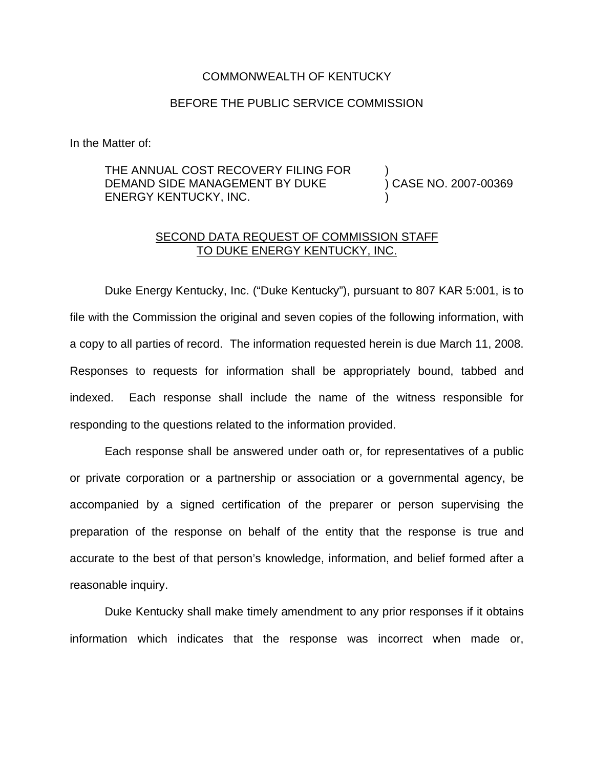## COMMONWEALTH OF KENTUCKY

## BEFORE THE PUBLIC SERVICE COMMISSION

In the Matter of:

## THE ANNUAL COST RECOVERY FILING FOR DEMAND SIDE MANAGEMENT BY DUKE ENERGY KENTUCKY, INC. ) ) CASE NO. 2007-00369 )

## SECOND DATA REQUEST OF COMMISSION STAFF TO DUKE ENERGY KENTUCKY, INC.

Duke Energy Kentucky, Inc. ("Duke Kentucky"), pursuant to 807 KAR 5:001, is to file with the Commission the original and seven copies of the following information, with a copy to all parties of record. The information requested herein is due March 11, 2008. Responses to requests for information shall be appropriately bound, tabbed and indexed. Each response shall include the name of the witness responsible for responding to the questions related to the information provided.

Each response shall be answered under oath or, for representatives of a public or private corporation or a partnership or association or a governmental agency, be accompanied by a signed certification of the preparer or person supervising the preparation of the response on behalf of the entity that the response is true and accurate to the best of that person's knowledge, information, and belief formed after a reasonable inquiry.

Duke Kentucky shall make timely amendment to any prior responses if it obtains information which indicates that the response was incorrect when made or,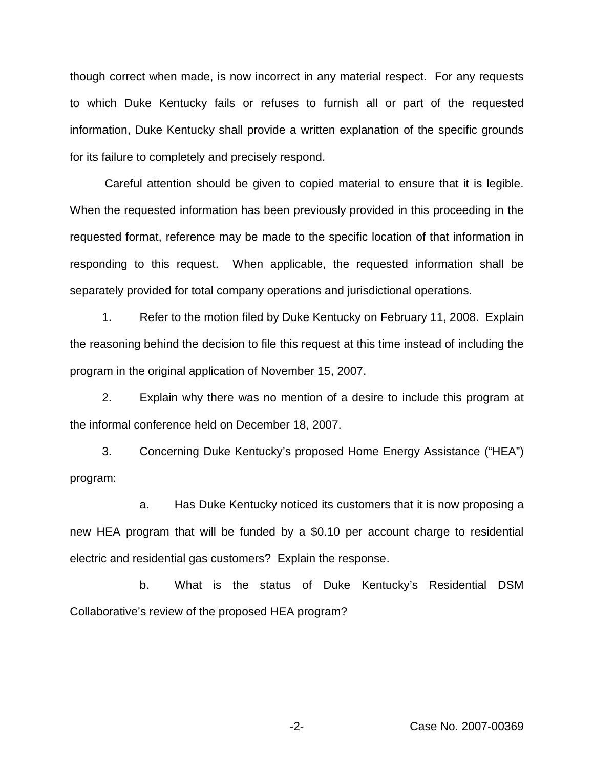though correct when made, is now incorrect in any material respect. For any requests to which Duke Kentucky fails or refuses to furnish all or part of the requested information, Duke Kentucky shall provide a written explanation of the specific grounds for its failure to completely and precisely respond.

Careful attention should be given to copied material to ensure that it is legible. When the requested information has been previously provided in this proceeding in the requested format, reference may be made to the specific location of that information in responding to this request. When applicable, the requested information shall be separately provided for total company operations and jurisdictional operations.

1. Refer to the motion filed by Duke Kentucky on February 11, 2008. Explain the reasoning behind the decision to file this request at this time instead of including the program in the original application of November 15, 2007.

2. Explain why there was no mention of a desire to include this program at the informal conference held on December 18, 2007.

3. Concerning Duke Kentucky's proposed Home Energy Assistance ("HEA") program:

a. Has Duke Kentucky noticed its customers that it is now proposing a new HEA program that will be funded by a \$0.10 per account charge to residential electric and residential gas customers? Explain the response.

b. What is the status of Duke Kentucky's Residential DSM Collaborative's review of the proposed HEA program?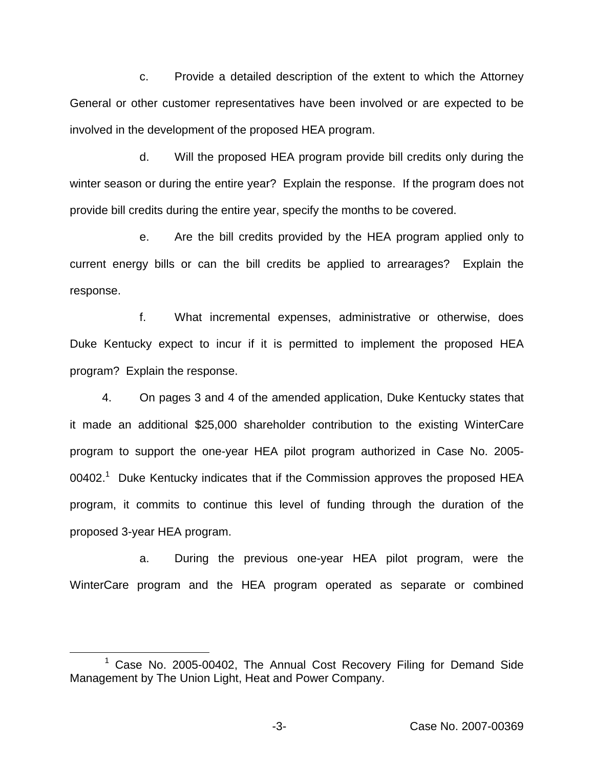c. Provide a detailed description of the extent to which the Attorney General or other customer representatives have been involved or are expected to be involved in the development of the proposed HEA program.

d. Will the proposed HEA program provide bill credits only during the winter season or during the entire year? Explain the response. If the program does not provide bill credits during the entire year, specify the months to be covered.

e. Are the bill credits provided by the HEA program applied only to current energy bills or can the bill credits be applied to arrearages? Explain the response.

f. What incremental expenses, administrative or otherwise, does Duke Kentucky expect to incur if it is permitted to implement the proposed HEA program? Explain the response.

4. On pages 3 and 4 of the amended application, Duke Kentucky states that it made an additional \$25,000 shareholder contribution to the existing WinterCare program to support the one-year HEA pilot program authorized in Case No. 2005-  $00402<sup>1</sup>$  Duke Kentucky indicates that if the Commission approves the proposed HEA program, it commits to continue this level of funding through the duration of the proposed 3-year HEA program.

a. During the previous one-year HEA pilot program, were the WinterCare program and the HEA program operated as separate or combined

<sup>&</sup>lt;sup>1</sup> Case No. 2005-00402, The Annual Cost Recovery Filing for Demand Side Management by The Union Light, Heat and Power Company.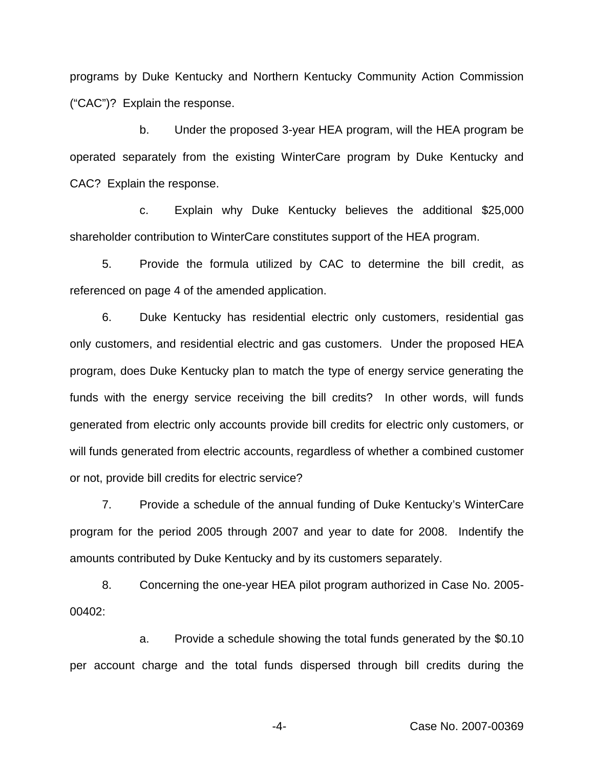programs by Duke Kentucky and Northern Kentucky Community Action Commission ("CAC")? Explain the response.

b. Under the proposed 3-year HEA program, will the HEA program be operated separately from the existing WinterCare program by Duke Kentucky and CAC? Explain the response.

c. Explain why Duke Kentucky believes the additional \$25,000 shareholder contribution to WinterCare constitutes support of the HEA program.

5. Provide the formula utilized by CAC to determine the bill credit, as referenced on page 4 of the amended application.

6. Duke Kentucky has residential electric only customers, residential gas only customers, and residential electric and gas customers. Under the proposed HEA program, does Duke Kentucky plan to match the type of energy service generating the funds with the energy service receiving the bill credits? In other words, will funds generated from electric only accounts provide bill credits for electric only customers, or will funds generated from electric accounts, regardless of whether a combined customer or not, provide bill credits for electric service?

7. Provide a schedule of the annual funding of Duke Kentucky's WinterCare program for the period 2005 through 2007 and year to date for 2008. Indentify the amounts contributed by Duke Kentucky and by its customers separately.

8. Concerning the one-year HEA pilot program authorized in Case No. 2005- 00402:

a. Provide a schedule showing the total funds generated by the \$0.10 per account charge and the total funds dispersed through bill credits during the